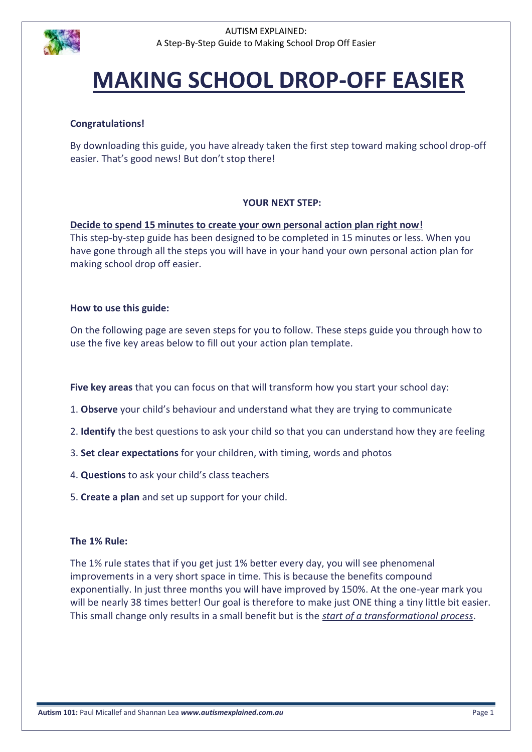

# **MAKING SCHOOL DROP-OFF EASIER**

# **Congratulations!**

By downloading this guide, you have already taken the first step toward making school drop-off easier. That's good news! But don't stop there!

# **YOUR NEXT STEP:**

**Decide to spend 15 minutes to create your own personal action plan right now!** This step-by-step guide has been designed to be completed in 15 minutes or less. When you have gone through all the steps you will have in your hand your own personal action plan for making school drop off easier.

## **How to use this guide:**

On the following page are seven steps for you to follow. These steps guide you through how to use the five key areas below to fill out your action plan template.

**Five key areas** that you can focus on that will transform how you start your school day:

- 1. **Observe** your child's behaviour and understand what they are trying to communicate
- 2. **Identify** the best questions to ask your child so that you can understand how they are feeling
- 3. **Set clear expectations** for your children, with timing, words and photos
- 4. **Questions** to ask your child's class teachers
- 5. **Create a plan** and set up support for your child.

#### **The 1% Rule:**

The 1% rule states that if you get just 1% better every day, you will see phenomenal improvements in a very short space in time. This is because the benefits compound exponentially. In just three months you will have improved by 150%. At the one-year mark you will be nearly 38 times better! Our goal is therefore to make just ONE thing a tiny little bit easier. This small change only results in a small benefit but is the *start of a transformational process*.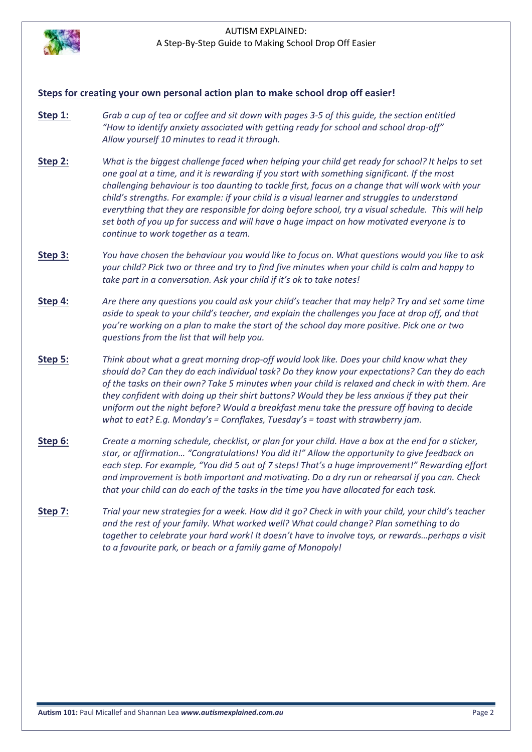

#### **Steps for creating your own personal action plan to make school drop off easier!**

- **Step 1:** *Grab a cup of tea or coffee and sit down with pages 3-5 of this guide, the section entitled "How to identify anxiety associated with getting ready for school and school drop-off" Allow yourself 10 minutes to read it through.*
- **Step 2:** *What is the biggest challenge faced when helping your child get ready for school? It helps to set one goal at a time, and it is rewarding if you start with something significant. If the most challenging behaviour is too daunting to tackle first, focus on a change that will work with your child's strengths. For example: if your child is a visual learner and struggles to understand everything that they are responsible for doing before school, try a visual schedule. This will help set both of you up for success and will have a huge impact on how motivated everyone is to continue to work together as a team.*
- **Step 3:** *You have chosen the behaviour you would like to focus on. What questions would you like to ask your child? Pick two or three and try to find five minutes when your child is calm and happy to take part in a conversation. Ask your child if it's ok to take notes!*
- **Step 4:** *Are there any questions you could ask your child's teacher that may help? Try and set some time aside to speak to your child's teacher, and explain the challenges you face at drop off, and that you're working on a plan to make the start of the school day more positive. Pick one or two questions from the list that will help you.*
- **Step 5:** *Think about what a great morning drop-off would look like. Does your child know what they should do? Can they do each individual task? Do they know your expectations? Can they do each of the tasks on their own? Take 5 minutes when your child is relaxed and check in with them. Are they confident with doing up their shirt buttons? Would they be less anxious if they put their uniform out the night before? Would a breakfast menu take the pressure off having to decide what to eat? E.g. Monday's = Cornflakes, Tuesday's = toast with strawberry jam.*
- **Step 6:** *Create a morning schedule, checklist, or plan for your child. Have a box at the end for a sticker, star, or affirmation… "Congratulations! You did it!" Allow the opportunity to give feedback on each step. For example, "You did 5 out of 7 steps! That's a huge improvement!" Rewarding effort and improvement is both important and motivating. Do a dry run or rehearsal if you can. Check that your child can do each of the tasks in the time you have allocated for each task.*
- **Step 7:** *Trial your new strategies for a week. How did it go? Check in with your child, your child's teacher and the rest of your family. What worked well? What could change? Plan something to do together to celebrate your hard work! It doesn't have to involve toys, or rewards…perhaps a visit to a favourite park, or beach or a family game of Monopoly!*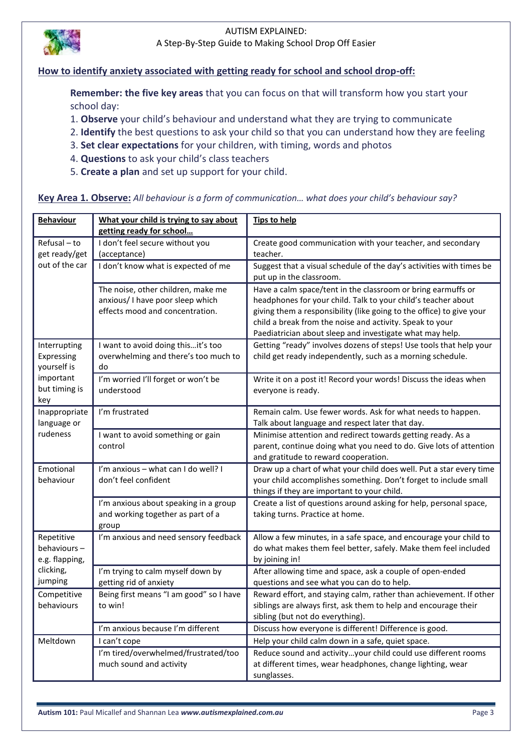

# **How to identify anxiety associated with getting ready for school and school drop-off:**

**Remember: the five key areas** that you can focus on that will transform how you start your school day:

- 1. **Observe** your child's behaviour and understand what they are trying to communicate
- 2. **Identify** the best questions to ask your child so that you can understand how they are feeling
- 3. **Set clear expectations** for your children, with timing, words and photos
- 4. **Questions** to ask your child's class teachers
- 5. **Create a plan** and set up support for your child.

#### **Key Area 1. Observe:** *All behaviour is a form of communication… what does your child's behaviour say?*

| <b>Behaviour</b>                                                               | What your child is trying to say about<br>getting ready for school                                        | <b>Tips to help</b>                                                                                                                                                                                                                                                                                                           |
|--------------------------------------------------------------------------------|-----------------------------------------------------------------------------------------------------------|-------------------------------------------------------------------------------------------------------------------------------------------------------------------------------------------------------------------------------------------------------------------------------------------------------------------------------|
| Refusal - to<br>get ready/get                                                  | I don't feel secure without you<br>(acceptance)                                                           | Create good communication with your teacher, and secondary<br>teacher.                                                                                                                                                                                                                                                        |
| out of the car                                                                 | I don't know what is expected of me                                                                       | Suggest that a visual schedule of the day's activities with times be<br>put up in the classroom.                                                                                                                                                                                                                              |
|                                                                                | The noise, other children, make me<br>anxious/ I have poor sleep which<br>effects mood and concentration. | Have a calm space/tent in the classroom or bring earmuffs or<br>headphones for your child. Talk to your child's teacher about<br>giving them a responsibility (like going to the office) to give your<br>child a break from the noise and activity. Speak to your<br>Paediatrician about sleep and investigate what may help. |
| Interrupting<br>Expressing<br>yourself is<br>important<br>but timing is<br>key | I want to avoid doing this it's too<br>overwhelming and there's too much to<br>do                         | Getting "ready" involves dozens of steps! Use tools that help your<br>child get ready independently, such as a morning schedule.                                                                                                                                                                                              |
|                                                                                | I'm worried I'll forget or won't be<br>understood                                                         | Write it on a post it! Record your words! Discuss the ideas when<br>everyone is ready.                                                                                                                                                                                                                                        |
| Inappropriate<br>language or                                                   | I'm frustrated                                                                                            | Remain calm. Use fewer words. Ask for what needs to happen.<br>Talk about language and respect later that day.                                                                                                                                                                                                                |
| rudeness                                                                       | I want to avoid something or gain<br>control                                                              | Minimise attention and redirect towards getting ready. As a<br>parent, continue doing what you need to do. Give lots of attention<br>and gratitude to reward cooperation.                                                                                                                                                     |
| Emotional<br>behaviour                                                         | I'm anxious - what can I do well? I<br>don't feel confident                                               | Draw up a chart of what your child does well. Put a star every time<br>your child accomplishes something. Don't forget to include small<br>things if they are important to your child.                                                                                                                                        |
|                                                                                | I'm anxious about speaking in a group<br>and working together as part of a<br>group                       | Create a list of questions around asking for help, personal space,<br>taking turns. Practice at home.                                                                                                                                                                                                                         |
| Repetitive<br>behaviours-<br>e.g. flapping,                                    | I'm anxious and need sensory feedback                                                                     | Allow a few minutes, in a safe space, and encourage your child to<br>do what makes them feel better, safely. Make them feel included<br>by joining in!                                                                                                                                                                        |
| clicking,<br>jumping                                                           | I'm trying to calm myself down by<br>getting rid of anxiety                                               | After allowing time and space, ask a couple of open-ended<br>questions and see what you can do to help.                                                                                                                                                                                                                       |
| Competitive<br>behaviours                                                      | Being first means "I am good" so I have<br>to win!                                                        | Reward effort, and staying calm, rather than achievement. If other<br>siblings are always first, ask them to help and encourage their<br>sibling (but not do everything).                                                                                                                                                     |
|                                                                                | I'm anxious because I'm different                                                                         | Discuss how everyone is different! Difference is good.                                                                                                                                                                                                                                                                        |
| Meltdown                                                                       | I can't cope                                                                                              | Help your child calm down in a safe, quiet space.                                                                                                                                                                                                                                                                             |
|                                                                                | I'm tired/overwhelmed/frustrated/too<br>much sound and activity                                           | Reduce sound and activityyour child could use different rooms<br>at different times, wear headphones, change lighting, wear<br>sunglasses.                                                                                                                                                                                    |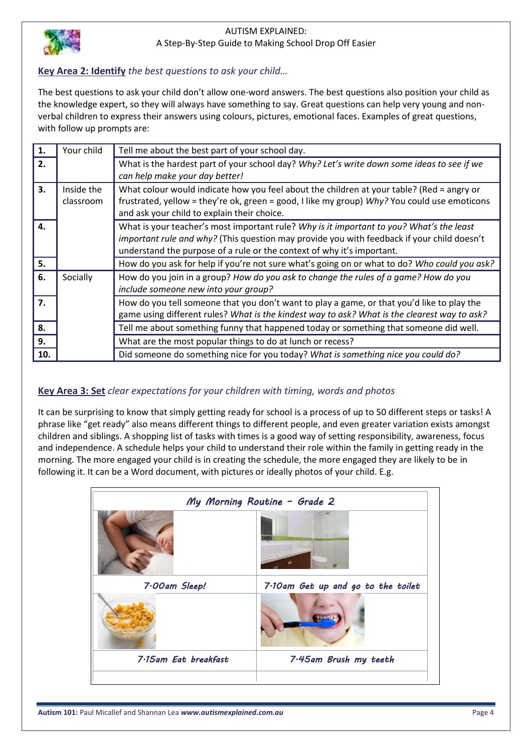

# **Key Area 2: Identify** *the best questions to ask your child…*

The best questions to ask your child don't allow one-word answers. The best questions also position your child as the knowledge expert, so they will always have something to say. Great questions can help very young and nonverbal children to express their answers using colours, pictures, emotional faces. Examples of great questions, with follow up prompts are:

| 1.           | Your child | Tell me about the best part of your school day.                                              |
|--------------|------------|----------------------------------------------------------------------------------------------|
| 2.           |            | What is the hardest part of your school day? Why? Let's write down some ideas to see if we   |
|              |            | can help make your day better!                                                               |
| 3.           | Inside the | What colour would indicate how you feel about the children at your table? (Red = angry or    |
|              | classroom  | frustrated, yellow = they're ok, green = good, I like my group) Why? You could use emoticons |
|              |            | and ask your child to explain their choice.                                                  |
| $\mathbf{4}$ |            | What is your teacher's most important rule? Why is it important to you? What's the least     |
|              |            | important rule and why? (This question may provide you with feedback if your child doesn't   |
|              |            | understand the purpose of a rule or the context of why it's important.                       |
| 5.           |            | How do you ask for help if you're not sure what's going on or what to do? Who could you ask? |
| 6.           | Socially   | How do you join in a group? How do you ask to change the rules of a game? How do you         |
|              |            | include someone new into your group?                                                         |
| 7.           |            | How do you tell someone that you don't want to play a game, or that you'd like to play the   |
|              |            | game using different rules? What is the kindest way to ask? What is the clearest way to ask? |
| 8.           |            | Tell me about something funny that happened today or something that someone did well.        |
| 9.           |            | What are the most popular things to do at lunch or recess?                                   |
| 10.          |            | Did someone do something nice for you today? What is something nice you could do?            |

# **Key Area 3: Set** *clear expectations for your children with timing, words and photos*

It can be surprising to know that simply getting ready for school is a process of up to 50 different steps or tasks! A phrase like "get ready" also means different things to different people, and even greater variation exists amongst children and siblings. A shopping list of tasks with times is a good way of setting responsibility, awareness, focus and independence. A schedule helps your child to understand their role within the family in getting ready in the morning. The more engaged your child is in creating the schedule, the more engaged they are likely to be in following it. It can be a Word document, with pictures or ideally photos of your child. E.g.

|                      | My Morning Routine - Grade 2       |
|----------------------|------------------------------------|
|                      |                                    |
| 7.00am Sleep!        | 7.10am Get up and go to the toilet |
|                      |                                    |
| 7.15am Eat breakfast | 7.45am Brush my teeth              |
|                      |                                    |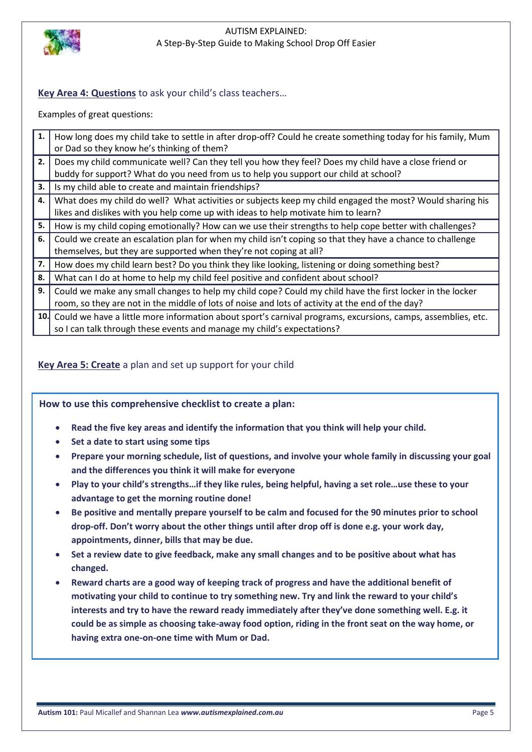

# **Key Area 4: Questions** to ask your child's class teachers…

Examples of great questions:

| 1. | How long does my child take to settle in after drop-off? Could he create something today for his family, Mum     |
|----|------------------------------------------------------------------------------------------------------------------|
|    | or Dad so they know he's thinking of them?                                                                       |
| 2. | Does my child communicate well? Can they tell you how they feel? Does my child have a close friend or            |
|    | buddy for support? What do you need from us to help you support our child at school?                             |
| 3. | Is my child able to create and maintain friendships?                                                             |
| 4. | What does my child do well? What activities or subjects keep my child engaged the most? Would sharing his        |
|    | likes and dislikes with you help come up with ideas to help motivate him to learn?                               |
| 5. | How is my child coping emotionally? How can we use their strengths to help cope better with challenges?          |
| 6. | Could we create an escalation plan for when my child isn't coping so that they have a chance to challenge        |
|    | themselves, but they are supported when they're not coping at all?                                               |
| 7. | How does my child learn best? Do you think they like looking, listening or doing something best?                 |
| 8. | What can I do at home to help my child feel positive and confident about school?                                 |
| 9. | Could we make any small changes to help my child cope? Could my child have the first locker in the locker        |
|    | room, so they are not in the middle of lots of noise and lots of activity at the end of the day?                 |
|    | 10. Could we have a little more information about sport's carnival programs, excursions, camps, assemblies, etc. |
|    | so I can talk through these events and manage my child's expectations?                                           |

# **Key Area 5: Create** a plan and set up support for your child

**How to use this comprehensive checklist to create a plan:**

- **Read the five key areas and identify the information that you think will help your child.**
- **•** Set a date to start using some tips
- **Prepare your morning schedule, list of questions, and involve your whole family in discussing your goal and the differences you think it will make for everyone**
- **Play to your child's strengths…if they like rules, being helpful, having a set role…use these to your advantage to get the morning routine done!**
- **Be positive and mentally prepare yourself to be calm and focused for the 90 minutes prior to school drop-off. Don't worry about the other things until after drop off is done e.g. your work day, appointments, dinner, bills that may be due.**
- **Set a review date to give feedback, make any small changes and to be positive about what has changed.**
- **Reward charts are a good way of keeping track of progress and have the additional benefit of motivating your child to continue to try something new. Try and link the reward to your child's interests and try to have the reward ready immediately after they've done something well. E.g. it could be as simple as choosing take-away food option, riding in the front seat on the way home, or having extra one-on-one time with Mum or Dad.**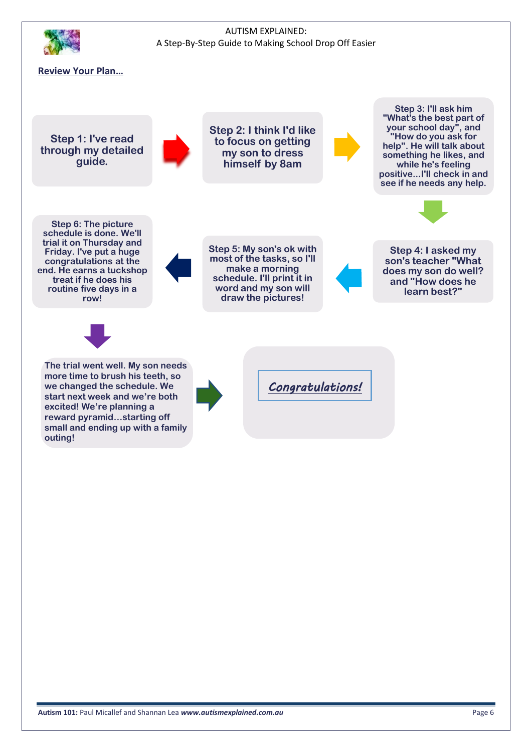